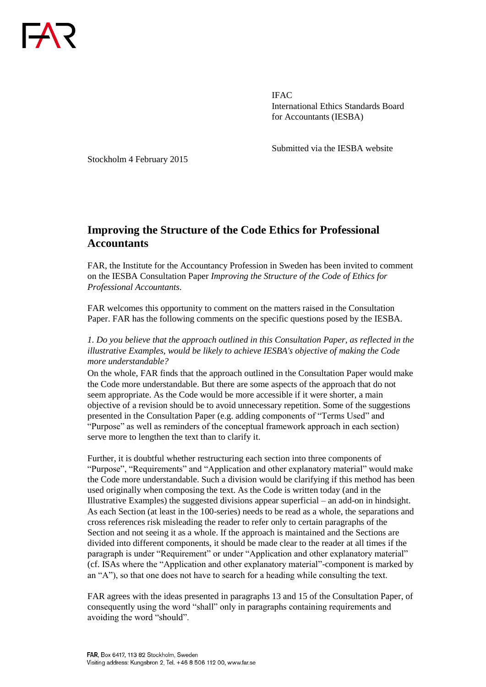

IFAC International Ethics Standards Board for Accountants (IESBA)

Submitted via the IESBA website

Stockholm 4 February 2015

## **Improving the Structure of the Code Ethics for Professional Accountants**

FAR, the Institute for the Accountancy Profession in Sweden has been invited to comment on the IESBA Consultation Paper *Improving the Structure of the Code of Ethics for Professional Accountants*.

FAR welcomes this opportunity to comment on the matters raised in the Consultation Paper. FAR has the following comments on the specific questions posed by the IESBA.

*1. Do you believe that the approach outlined in this Consultation Paper, as reflected in the illustrative Examples, would be likely to achieve IESBA's objective of making the Code more understandable?*

On the whole, FAR finds that the approach outlined in the Consultation Paper would make the Code more understandable. But there are some aspects of the approach that do not seem appropriate. As the Code would be more accessible if it were shorter, a main objective of a revision should be to avoid unnecessary repetition. Some of the suggestions presented in the Consultation Paper (e.g. adding components of "Terms Used" and "Purpose" as well as reminders of the conceptual framework approach in each section) serve more to lengthen the text than to clarify it.

Further, it is doubtful whether restructuring each section into three components of "Purpose", "Requirements" and "Application and other explanatory material" would make the Code more understandable. Such a division would be clarifying if this method has been used originally when composing the text. As the Code is written today (and in the Illustrative Examples) the suggested divisions appear superficial – an add-on in hindsight. As each Section (at least in the 100-series) needs to be read as a whole, the separations and cross references risk misleading the reader to refer only to certain paragraphs of the Section and not seeing it as a whole. If the approach is maintained and the Sections are divided into different components, it should be made clear to the reader at all times if the paragraph is under "Requirement" or under "Application and other explanatory material" (cf. ISAs where the "Application and other explanatory material"-component is marked by an "A"), so that one does not have to search for a heading while consulting the text.

FAR agrees with the ideas presented in paragraphs 13 and 15 of the Consultation Paper, of consequently using the word "shall" only in paragraphs containing requirements and avoiding the word "should".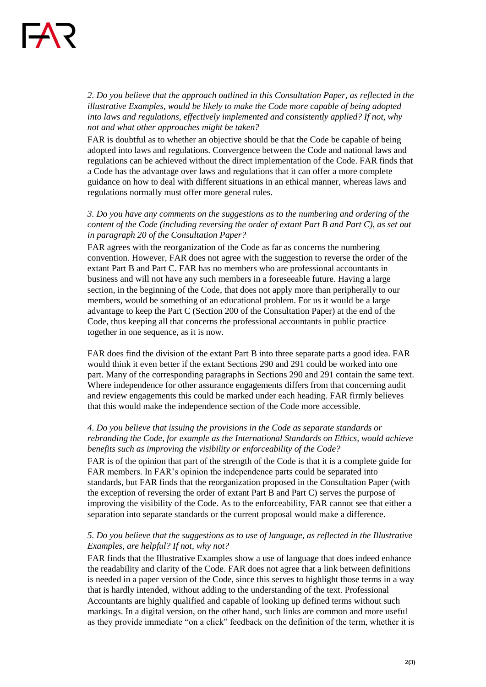*2. Do you believe that the approach outlined in this Consultation Paper, as reflected in the illustrative Examples, would be likely to make the Code more capable of being adopted into laws and regulations, effectively implemented and consistently applied? If not, why not and what other approaches might be taken?*

FAR is doubtful as to whether an objective should be that the Code be capable of being adopted into laws and regulations. Convergence between the Code and national laws and regulations can be achieved without the direct implementation of the Code. FAR finds that a Code has the advantage over laws and regulations that it can offer a more complete guidance on how to deal with different situations in an ethical manner, whereas laws and regulations normally must offer more general rules.

*3. Do you have any comments on the suggestions as to the numbering and ordering of the content of the Code (including reversing the order of extant Part B and Part C), as set out in paragraph 20 of the Consultation Paper?* 

FAR agrees with the reorganization of the Code as far as concerns the numbering convention. However, FAR does not agree with the suggestion to reverse the order of the extant Part B and Part C. FAR has no members who are professional accountants in business and will not have any such members in a foreseeable future. Having a large section, in the beginning of the Code, that does not apply more than peripherally to our members, would be something of an educational problem. For us it would be a large advantage to keep the Part C (Section 200 of the Consultation Paper) at the end of the Code, thus keeping all that concerns the professional accountants in public practice together in one sequence, as it is now.

FAR does find the division of the extant Part B into three separate parts a good idea. FAR would think it even better if the extant Sections 290 and 291 could be worked into one part. Many of the corresponding paragraphs in Sections 290 and 291 contain the same text. Where independence for other assurance engagements differs from that concerning audit and review engagements this could be marked under each heading. FAR firmly believes that this would make the independence section of the Code more accessible.

## *4. Do you believe that issuing the provisions in the Code as separate standards or rebranding the Code, for example as the International Standards on Ethics, would achieve benefits such as improving the visibility or enforceability of the Code?*

FAR is of the opinion that part of the strength of the Code is that it is a complete guide for FAR members. In FAR's opinion the independence parts could be separated into standards, but FAR finds that the reorganization proposed in the Consultation Paper (with the exception of reversing the order of extant Part B and Part C) serves the purpose of improving the visibility of the Code. As to the enforceability, FAR cannot see that either a separation into separate standards or the current proposal would make a difference.

## *5. Do you believe that the suggestions as to use of language, as reflected in the Illustrative Examples, are helpful? If not, why not?*

FAR finds that the Illustrative Examples show a use of language that does indeed enhance the readability and clarity of the Code. FAR does not agree that a link between definitions is needed in a paper version of the Code, since this serves to highlight those terms in a way that is hardly intended, without adding to the understanding of the text. Professional Accountants are highly qualified and capable of looking up defined terms without such markings. In a digital version, on the other hand, such links are common and more useful as they provide immediate "on a click" feedback on the definition of the term, whether it is